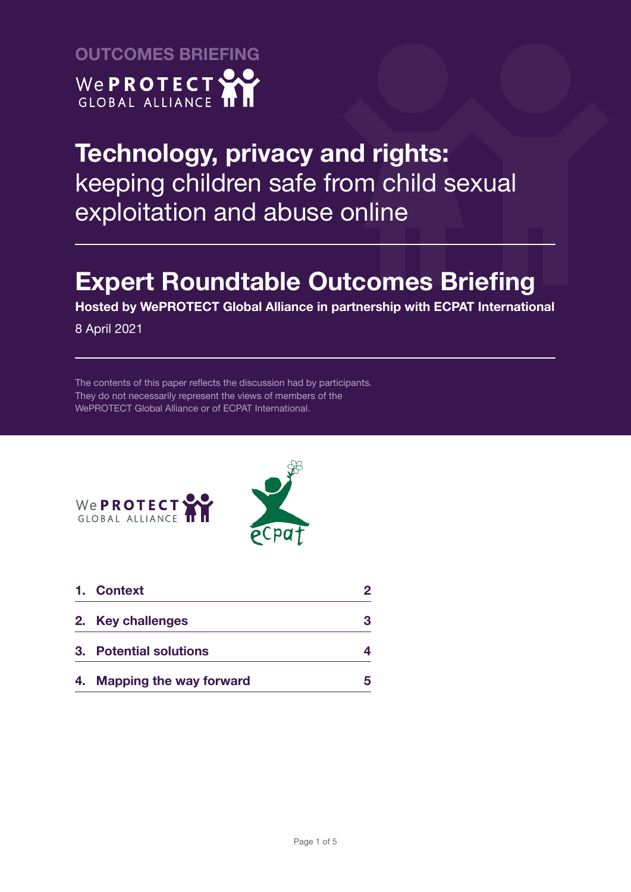

# **Expert Roundtable Outcomes Briefing**

**Hosted by WePROTECT Global Alliance in partnership with ECPAT International**

8 April 2021

The contents of this paper reflects the discussion had by participants. They do not necessarily represent the views of members of the WePROTECT Global Alliance or of ECPAT International.





|    | 1. Context                     |    |
|----|--------------------------------|----|
|    | 2. Key challenges              | з  |
|    | 3. Potential solutions         |    |
| 4. | <b>Mapping the way forward</b> | б, |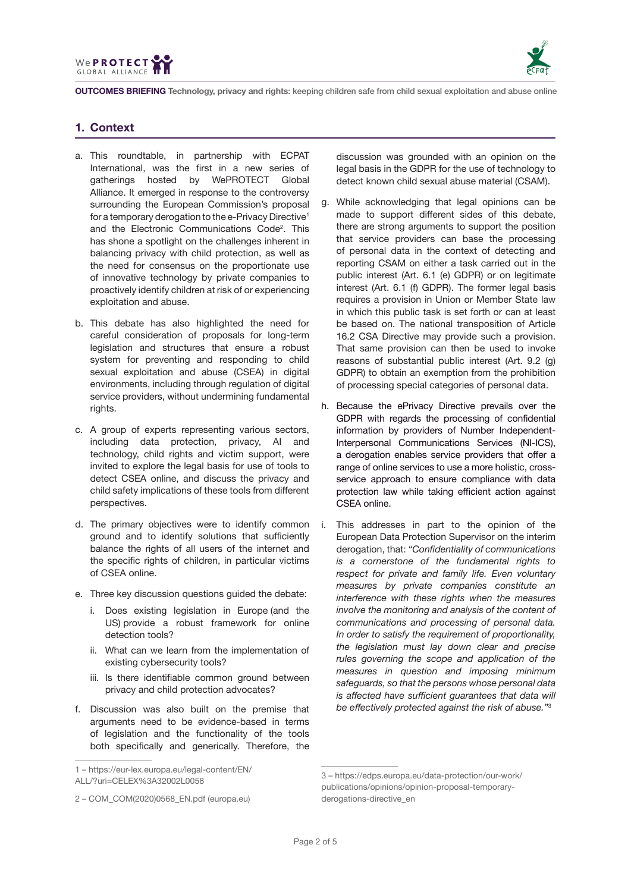



# **1. Context**

- a. This roundtable, in partnership with ECPAT International, was the first in a new series of gatherings hosted by WePROTECT Global Alliance. It emerged in response to the controversy surrounding the European Commission's proposal for a temporary derogation to the e-Privacy Directive<sup>1</sup> and the Electronic Communications Code2 . This has shone a spotlight on the challenges inherent in balancing privacy with child protection, as well as the need for consensus on the proportionate use of innovative technology by private companies to proactively identify children at risk of or experiencing exploitation and abuse.
- b. This debate has also highlighted the need for careful consideration of proposals for long-term legislation and structures that ensure a robust system for preventing and responding to child sexual exploitation and abuse (CSEA) in digital environments, including through regulation of digital service providers, without undermining fundamental rights.
- c. A group of experts representing various sectors, including data protection, privacy, AI and technology, child rights and victim support, were invited to explore the legal basis for use of tools to detect CSEA online, and discuss the privacy and child safety implications of these tools from different perspectives.
- d. The primary objectives were to identify common ground and to identify solutions that sufficiently balance the rights of all users of the internet and the specific rights of children, in particular victims of CSEA online.
- e. Three key discussion questions guided the debate:
	- i. Does existing legislation in Europe (and the US) provide a robust framework for online detection tools?
	- ii. What can we learn from the implementation of existing cybersecurity tools?
	- iii. Is there identifiable common ground between privacy and child protection advocates?
- f. Discussion was also built on the premise that arguments need to be evidence-based in terms of legislation and the functionality of the tools both specifically and generically. Therefore, the

discussion was grounded with an opinion on the legal basis in the GDPR for the use of technology to detect known child sexual abuse material (CSAM).

- g. While acknowledging that legal opinions can be made to support different sides of this debate, there are strong arguments to support the position that service providers can base the processing of personal data in the context of detecting and reporting CSAM on either a task carried out in the public interest (Art. 6.1 (e) GDPR) or on legitimate interest (Art. 6.1 (f) GDPR). The former legal basis requires a provision in Union or Member State law in which this public task is set forth or can at least be based on. The national transposition of Article 16.2 CSA Directive may provide such a provision. That same provision can then be used to invoke reasons of substantial public interest (Art. 9.2 (g) GDPR) to obtain an exemption from the prohibition of processing special categories of personal data.
- h. Because the ePrivacy Directive prevails over the GDPR with regards the processing of confidential information by providers of Number Independent-Interpersonal Communications Services (NI-ICS), a derogation enables service providers that offer a range of online services to use a more holistic, crossservice approach to ensure compliance with data protection law while taking efficient action against CSEA online.
- i. This addresses in part to the opinion of the European Data Protection Supervisor on the interim derogation, that: *"Confidentiality of communications is a cornerstone of the fundamental rights to respect for private and family life. Even voluntary measures by private companies constitute an interference with these rights when the measures involve the monitoring and analysis of the content of communications and processing of personal data. In order to satisfy the requirement of proportionality, the legislation must lay down clear and precise rules governing the scope and application of the measures in question and imposing minimum safeguards, so that the persons whose personal data is affected have sufficient guarantees that data will be effectively protected against the risk of abuse."*<sup>3</sup>

<sup>1 –</sup> https://eur-lex.europa.eu/legal-content/EN/ ALL/?uri=CELEX%3A32002L0058

<sup>2 –</sup> COM\_COM(2020)0568\_EN.pdf (europa.eu)

<sup>3 –</sup> https://edps.europa.eu/data-protection/our-work/ publications/opinions/opinion-proposal-temporaryderogations-directive\_en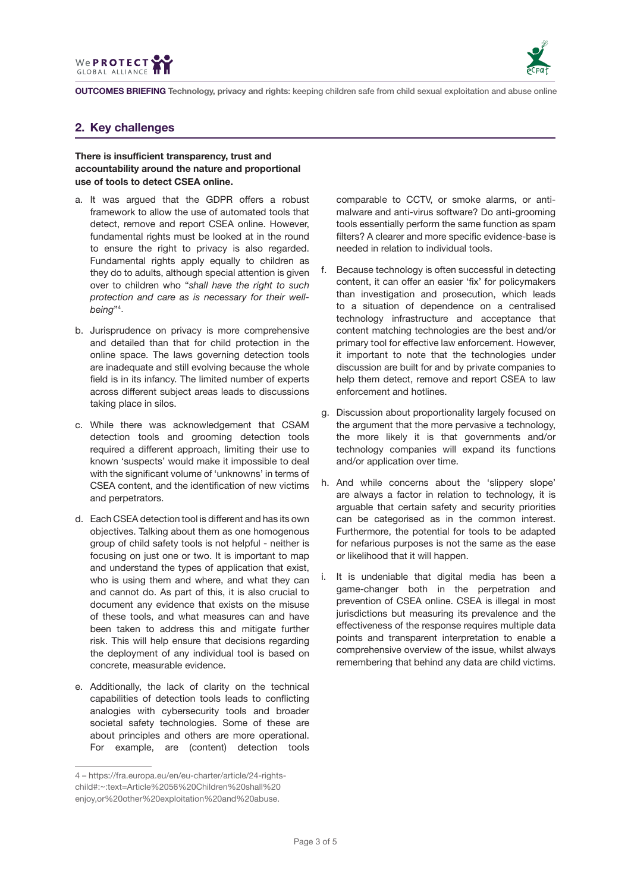



# **2. Key challenges**

## **There is insufficient transparency, trust and accountability around the nature and proportional use of tools to detect CSEA online.**

- a. It was argued that the GDPR offers a robust framework to allow the use of automated tools that detect, remove and report CSEA online. However, fundamental rights must be looked at in the round to ensure the right to privacy is also regarded. Fundamental rights apply equally to children as they do to adults, although special attention is given over to children who "*shall have the right to such protection and care as is necessary for their wellbeing*"4 .
- b. Jurisprudence on privacy is more comprehensive and detailed than that for child protection in the online space. The laws governing detection tools are inadequate and still evolving because the whole field is in its infancy. The limited number of experts across different subject areas leads to discussions taking place in silos.
- c. While there was acknowledgement that CSAM detection tools and grooming detection tools required a different approach, limiting their use to known 'suspects' would make it impossible to deal with the significant volume of 'unknowns' in terms of CSEA content, and the identification of new victims and perpetrators.
- d. Each CSEA detection tool is different and has its own objectives. Talking about them as one homogenous group of child safety tools is not helpful - neither is focusing on just one or two. It is important to map and understand the types of application that exist, who is using them and where, and what they can and cannot do. As part of this, it is also crucial to document any evidence that exists on the misuse of these tools, and what measures can and have been taken to address this and mitigate further risk. This will help ensure that decisions regarding the deployment of any individual tool is based on concrete, measurable evidence.
- e. Additionally, the lack of clarity on the technical capabilities of detection tools leads to conflicting analogies with cybersecurity tools and broader societal safety technologies. Some of these are about principles and others are more operational. For example, are (content) detection tools

comparable to CCTV, or smoke alarms, or antimalware and anti-virus software? Do anti-grooming tools essentially perform the same function as spam filters? A clearer and more specific evidence-base is needed in relation to individual tools.

- f. Because technology is often successful in detecting content, it can offer an easier 'fix' for policymakers than investigation and prosecution, which leads to a situation of dependence on a centralised technology infrastructure and acceptance that content matching technologies are the best and/or primary tool for effective law enforcement. However, it important to note that the technologies under discussion are built for and by private companies to help them detect, remove and report CSEA to law enforcement and hotlines.
- g. Discussion about proportionality largely focused on the argument that the more pervasive a technology, the more likely it is that governments and/or technology companies will expand its functions and/or application over time.
- h. And while concerns about the 'slippery slope' are always a factor in relation to technology, it is arguable that certain safety and security priorities can be categorised as in the common interest. Furthermore, the potential for tools to be adapted for nefarious purposes is not the same as the ease or likelihood that it will happen.
- i. It is undeniable that digital media has been a game-changer both in the perpetration and prevention of CSEA online. CSEA is illegal in most jurisdictions but measuring its prevalence and the effectiveness of the response requires multiple data points and transparent interpretation to enable a comprehensive overview of the issue, whilst always remembering that behind any data are child victims.

<sup>4 –</sup> https://fra.europa.eu/en/eu-charter/article/24-rightschild#:~:text=Article%2056%20Children%20shall%20 enjoy,or%20other%20exploitation%20and%20abuse.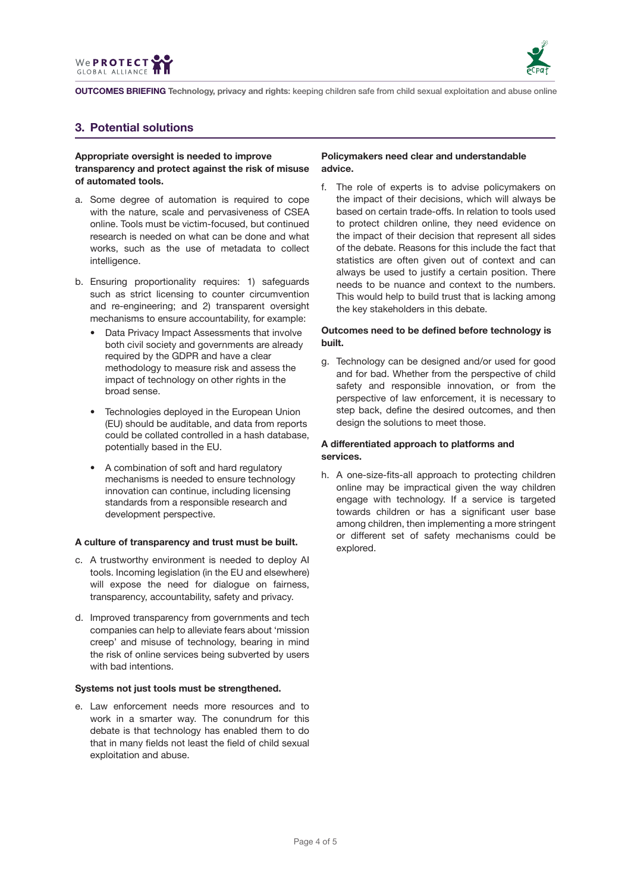



# **3. Potential solutions**

#### **Appropriate oversight is needed to improve transparency and protect against the risk of misuse of automated tools.**

- a. Some degree of automation is required to cope with the nature, scale and pervasiveness of CSEA online. Tools must be victim-focused, but continued research is needed on what can be done and what works, such as the use of metadata to collect intelligence.
- b. Ensuring proportionality requires: 1) safeguards such as strict licensing to counter circumvention and re-engineering; and 2) transparent oversight mechanisms to ensure accountability, for example:
	- Data Privacy Impact Assessments that involve both civil society and governments are already required by the GDPR and have a clear methodology to measure risk and assess the impact of technology on other rights in the broad sense.
	- Technologies deployed in the European Union (EU) should be auditable, and data from reports could be collated controlled in a hash database, potentially based in the EU.
	- A combination of soft and hard regulatory mechanisms is needed to ensure technology innovation can continue, including licensing standards from a responsible research and development perspective.

#### **A culture of transparency and trust must be built.**

- c. A trustworthy environment is needed to deploy AI tools. Incoming legislation (in the EU and elsewhere) will expose the need for dialogue on fairness, transparency, accountability, safety and privacy.
- d. Improved transparency from governments and tech companies can help to alleviate fears about 'mission creep' and misuse of technology, bearing in mind the risk of online services being subverted by users with bad intentions.

#### **Systems not just tools must be strengthened.**

e. Law enforcement needs more resources and to work in a smarter way. The conundrum for this debate is that technology has enabled them to do that in many fields not least the field of child sexual exploitation and abuse.

### **Policymakers need clear and understandable advice.**

f. The role of experts is to advise policymakers on the impact of their decisions, which will always be based on certain trade-offs. In relation to tools used to protect children online, they need evidence on the impact of their decision that represent all sides of the debate. Reasons for this include the fact that statistics are often given out of context and can always be used to justify a certain position. There needs to be nuance and context to the numbers. This would help to build trust that is lacking among the key stakeholders in this debate.

### **Outcomes need to be defined before technology is built.**

g. Technology can be designed and/or used for good and for bad. Whether from the perspective of child safety and responsible innovation, or from the perspective of law enforcement, it is necessary to step back, define the desired outcomes, and then design the solutions to meet those.

### **A differentiated approach to platforms and services.**

h. A one-size-fits-all approach to protecting children online may be impractical given the way children engage with technology. If a service is targeted towards children or has a significant user base among children, then implementing a more stringent or different set of safety mechanisms could be explored.